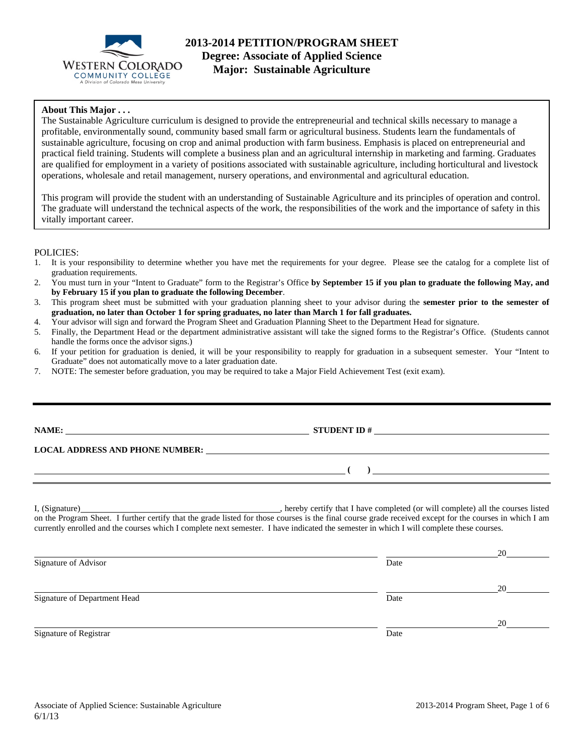

### **About This Major . . .**

The Sustainable Agriculture curriculum is designed to provide the entrepreneurial and technical skills necessary to manage a profitable, environmentally sound, community based small farm or agricultural business. Students learn the fundamentals of sustainable agriculture, focusing on crop and animal production with farm business. Emphasis is placed on entrepreneurial and practical field training. Students will complete a business plan and an agricultural internship in marketing and farming. Graduates are qualified for employment in a variety of positions associated with sustainable agriculture, including horticultural and livestock operations, wholesale and retail management, nursery operations, and environmental and agricultural education.

This program will provide the student with an understanding of Sustainable Agriculture and its principles of operation and control. The graduate will understand the technical aspects of the work, the responsibilities of the work and the importance of safety in this vitally important career.

#### POLICIES:

- 1. It is your responsibility to determine whether you have met the requirements for your degree. Please see the catalog for a complete list of graduation requirements.
- 2. You must turn in your "Intent to Graduate" form to the Registrar's Office **by September 15 if you plan to graduate the following May, and by February 15 if you plan to graduate the following December**.
- 3. This program sheet must be submitted with your graduation planning sheet to your advisor during the **semester prior to the semester of graduation, no later than October 1 for spring graduates, no later than March 1 for fall graduates.**
- 4. Your advisor will sign and forward the Program Sheet and Graduation Planning Sheet to the Department Head for signature.
- 5. Finally, the Department Head or the department administrative assistant will take the signed forms to the Registrar's Office. (Students cannot handle the forms once the advisor signs.)
- 6. If your petition for graduation is denied, it will be your responsibility to reapply for graduation in a subsequent semester. Your "Intent to Graduate" does not automatically move to a later graduation date.
- 7. NOTE: The semester before graduation, you may be required to take a Major Field Achievement Test (exit exam).

|                                                                                                                                                                                                                                | LOCAL ADDRESS AND PHONE NUMBER:                                                                                                                                                                                                                                                                                                                                                                        |
|--------------------------------------------------------------------------------------------------------------------------------------------------------------------------------------------------------------------------------|--------------------------------------------------------------------------------------------------------------------------------------------------------------------------------------------------------------------------------------------------------------------------------------------------------------------------------------------------------------------------------------------------------|
| <u> 1989 - Andrea San Andrea San Andrea San Andrea San Andrea San Andrea San Andrea San Andrea San Andrea San An</u>                                                                                                           | ) and the contract of $\overline{\phantom{a}}$ and $\overline{\phantom{a}}$ and $\overline{\phantom{a}}$ and $\overline{\phantom{a}}$ and $\overline{\phantom{a}}$ and $\overline{\phantom{a}}$ and $\overline{\phantom{a}}$ and $\overline{\phantom{a}}$ and $\overline{\phantom{a}}$ and $\overline{\phantom{a}}$ and $\overline{\phantom{a}}$ and $\overline{\phantom{a}}$ and $\overline{\phantom$ |
|                                                                                                                                                                                                                                |                                                                                                                                                                                                                                                                                                                                                                                                        |
| I, (Signature) Manual Communication of the Second Communication of the Second Communication of the Second Communication of the Second Communication of the Second Communication of the Second Communication of the Second Comm | hereby certify that I have completed (or will complete) all the courses listed                                                                                                                                                                                                                                                                                                                         |

on the Program Sheet. I further certify that the grade listed for those courses is the final course grade received except for the courses in which I am currently enrolled and the courses which I complete next semester. I have indicated the semester in which I will complete these courses.

|                              |      | 20 |
|------------------------------|------|----|
| Signature of Advisor         | Date |    |
|                              |      | 20 |
| Signature of Department Head | Date |    |
|                              |      | 20 |
| Signature of Registrar       | Date |    |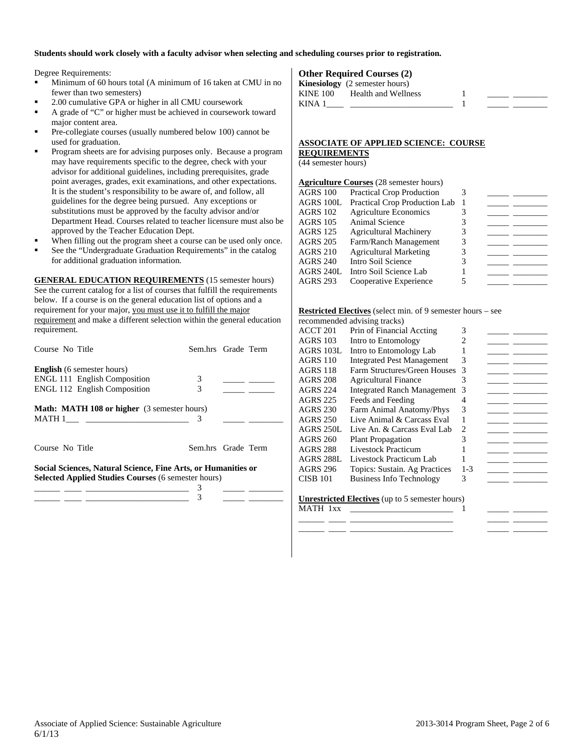#### **Students should work closely with a faculty advisor when selecting and scheduling courses prior to registration.**

Degree Requirements:

- Minimum of 60 hours total (A minimum of 16 taken at CMU in no fewer than two semesters)
- 2.00 cumulative GPA or higher in all CMU coursework
- A grade of "C" or higher must be achieved in coursework toward major content area.
- Pre-collegiate courses (usually numbered below 100) cannot be used for graduation.
- Program sheets are for advising purposes only. Because a program may have requirements specific to the degree, check with your advisor for additional guidelines, including prerequisites, grade point averages, grades, exit examinations, and other expectations. It is the student's responsibility to be aware of, and follow, all guidelines for the degree being pursued. Any exceptions or substitutions must be approved by the faculty advisor and/or Department Head. Courses related to teacher licensure must also be approved by the Teacher Education Dept.
- When filling out the program sheet a course can be used only once.
- See the "Undergraduate Graduation Requirements" in the catalog for additional graduation information.

**GENERAL EDUCATION REQUIREMENTS** (15 semester hours) See the current catalog for a list of courses that fulfill the requirements below. If a course is on the general education list of options and a requirement for your major, you must use it to fulfill the major requirement and make a different selection within the general education requirement.

| Course No Title                                               | Sem.hrs Grade Term |  |  |  |  |  |  |
|---------------------------------------------------------------|--------------------|--|--|--|--|--|--|
| <b>English</b> (6 semester hours)                             |                    |  |  |  |  |  |  |
| <b>ENGL 111 English Composition</b>                           | 3                  |  |  |  |  |  |  |
| <b>ENGL 112 English Composition</b>                           | 3                  |  |  |  |  |  |  |
| <b>Math: MATH 108 or higher</b> (3 semester hours)            |                    |  |  |  |  |  |  |
|                                                               | 3                  |  |  |  |  |  |  |
|                                                               |                    |  |  |  |  |  |  |
| Course No Title                                               | Sem.hrs Grade Term |  |  |  |  |  |  |
| Social Sciences, Natural Science, Fine Arts, or Humanities or |                    |  |  |  |  |  |  |
| <b>Selected Applied Studies Courses (6 semester hours)</b>    |                    |  |  |  |  |  |  |
|                                                               | 3                  |  |  |  |  |  |  |
|                                                               |                    |  |  |  |  |  |  |

### **Other Required Courses (2)**

|                 | <b>Kinesiology</b> (2 semester hours) |  |  |
|-----------------|---------------------------------------|--|--|
| <b>KINE 100</b> | Health and Wellness                   |  |  |
| KINA 1          |                                       |  |  |

### **ASSOCIATE OF APPLIED SCIENCE: COURSE REQUIREMENTS**

(44 semester hours)

|                 | <b>Agriculture Courses</b> (28 semester hours) |  |  |
|-----------------|------------------------------------------------|--|--|
| <b>AGRS 100</b> | <b>Practical Crop Production</b>               |  |  |
| AGRS 100L       | Practical Crop Production Lab                  |  |  |
| <b>AGRS 102</b> | <b>Agriculture Economics</b>                   |  |  |
| <b>AGRS 105</b> | Animal Science                                 |  |  |
| <b>AGRS 125</b> | Agricultural Machinery                         |  |  |
| <b>AGRS 205</b> | Farm/Ranch Management                          |  |  |
| <b>AGRS 210</b> | <b>Agricultural Marketing</b>                  |  |  |
| <b>AGRS 240</b> | Intro Soil Science                             |  |  |
| AGRS 240L       | Intro Soil Science Lab                         |  |  |
| <b>AGRS 293</b> | Cooperative Experience                         |  |  |
|                 |                                                |  |  |

#### **Restricted Electives** (select min. of 9 semester hours – see

|  | recommended advising tracks) |  |  |  |
|--|------------------------------|--|--|--|
|--|------------------------------|--|--|--|

|                 | recommended advising tracks)       |         |  |
|-----------------|------------------------------------|---------|--|
| ACCT 201        | Prin of Financial Accting          | 3       |  |
| AGRS 103        | Intro to Entomology                |         |  |
| AGRS 103L       | Intro to Entomology Lab            |         |  |
| <b>AGRS 110</b> | <b>Integrated Pest Management</b>  | 3       |  |
| AGRS 118        | Farm Structures/Green Houses       | 3       |  |
| AGRS 208        | <b>Agricultural Finance</b>        | 3       |  |
| <b>AGRS 224</b> | <b>Integrated Ranch Management</b> | 3       |  |
| AGRS 225        | Feeds and Feeding                  |         |  |
| AGRS 230        | Farm Animal Anatomy/Phys           | 3       |  |
| AGRS 250        | Live Animal & Carcass Eval         |         |  |
| AGRS 250L       | Live An. & Carcass Eval Lab        | 2       |  |
| AGRS 260        | <b>Plant Propagation</b>           | 3       |  |
| AGRS 288        | <b>Livestock Practicum</b>         |         |  |
| AGRS 288L       | Livestock Practicum Lab            |         |  |
| AGRS 296        | Topics: Sustain. Ag Practices      | $1 - 3$ |  |
| <b>CISB 101</b> | <b>Business Info Technology</b>    | 3       |  |
|                 |                                    |         |  |
|                 |                                    |         |  |

\_\_\_\_\_\_ \_\_\_\_ \_\_\_\_\_\_\_\_\_\_\_\_\_\_\_\_\_\_\_\_\_\_\_\_ \_\_\_\_\_ \_\_\_\_\_\_\_\_ \_\_\_\_\_\_ \_\_\_\_ \_\_\_\_\_\_\_\_\_\_\_\_\_\_\_\_\_\_\_\_\_\_\_\_ \_\_\_\_\_ \_\_\_\_\_\_\_\_

**Unrestricted Electives** (up to 5 semester hours) MATH 1xx \_\_\_\_\_\_\_\_\_\_\_\_\_\_\_\_\_\_\_\_\_\_\_\_ 1 \_\_\_\_\_ \_\_\_\_\_\_\_\_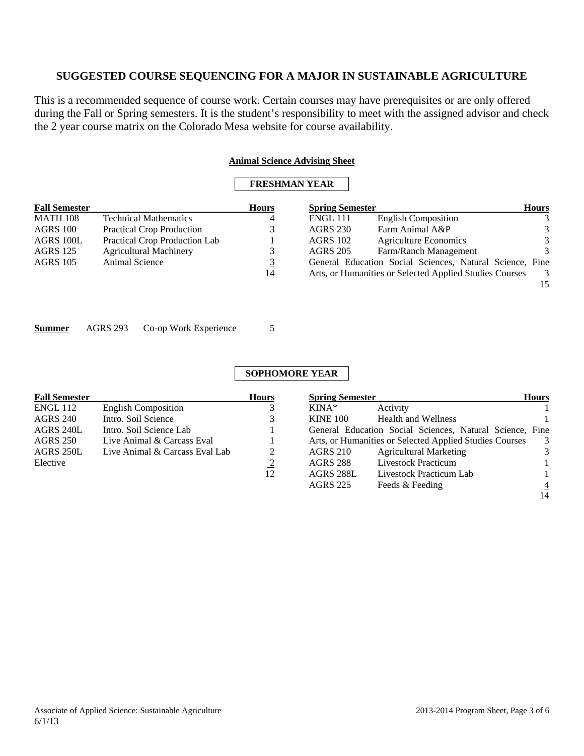This is a recommended sequence of course work. Certain courses may have prerequisites or are only offered during the Fall or Spring semesters. It is the student's responsibility to meet with the assigned advisor and check the 2 year course matrix on the Colorado Mesa website for course availability.

### **Animal Science Advising Sheet**

## **FRESHMAN YEAR**

| <b>Fall Semester</b> |                                  | <b>Hours</b> | <b>Spring Semester</b> |                                                          | <b>Hours</b>  |
|----------------------|----------------------------------|--------------|------------------------|----------------------------------------------------------|---------------|
| <b>MATH 108</b>      | <b>Technical Mathematics</b>     | 4            | <b>ENGL 111</b>        | <b>English Composition</b>                               | 3             |
| AGRS 100             | <b>Practical Crop Production</b> |              | <b>AGRS 230</b>        | Farm Animal A&P                                          | 3             |
| AGRS 100L            | Practical Crop Production Lab    |              | <b>AGRS</b> 102        | Agriculture Economics                                    | 3             |
| AGRS 125             | <b>Agricultural Machinery</b>    |              | <b>AGRS 205</b>        | Farm/Ranch Management                                    | $\mathcal{R}$ |
| <b>AGRS</b> 105      | Animal Science                   | <u>3</u>     |                        | General Education Social Sciences, Natural Science, Fine |               |
|                      |                                  | 14           |                        | Arts, or Humanities or Selected Applied Studies Courses  | 3             |
|                      |                                  |              |                        |                                                          |               |

| <b>Summer</b> | AGRS 293 | Co-op Work Experience |  |
|---------------|----------|-----------------------|--|
|---------------|----------|-----------------------|--|

| <b>Fall Semester</b> |                                | <b>Hours</b>   | <b>Spring Semester</b> |                                                          | <b>Hours</b>   |
|----------------------|--------------------------------|----------------|------------------------|----------------------------------------------------------|----------------|
| <b>ENGL 112</b>      | <b>English Composition</b>     |                | $KINA*$                | Activity                                                 |                |
| <b>AGRS 240</b>      | Intro. Soil Science            |                | <b>KINE 100</b>        | <b>Health and Wellness</b>                               |                |
| AGRS 240L            | Intro. Soil Science Lab        |                |                        | General Education Social Sciences, Natural Science, Fine |                |
| <b>AGRS 250</b>      | Live Animal & Carcass Eval     |                |                        | Arts, or Humanities or Selected Applied Studies Courses  | 3              |
| AGRS 250L            | Live Animal & Carcass Eval Lab |                | <b>AGRS 210</b>        | <b>Agricultural Marketing</b>                            | 3              |
| Elective             |                                | $\overline{2}$ | <b>AGRS 288</b>        | Livestock Practicum                                      |                |
|                      |                                | 12             | AGRS 288L              | Livestock Practicum Lab                                  |                |
|                      |                                |                | <b>AGRS 225</b>        | Feeds & Feeding                                          | $\overline{4}$ |
|                      |                                |                |                        |                                                          | 14             |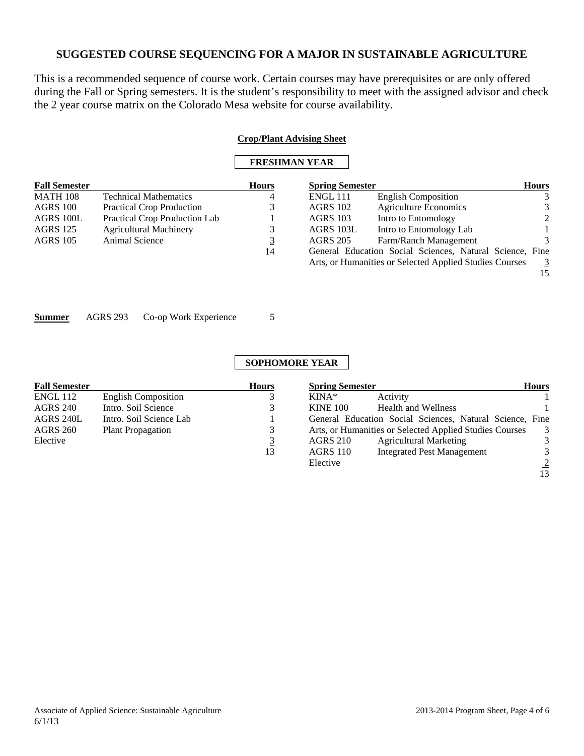This is a recommended sequence of course work. Certain courses may have prerequisites or are only offered during the Fall or Spring semesters. It is the student's responsibility to meet with the assigned advisor and check the 2 year course matrix on the Colorado Mesa website for course availability.

|                      |                 |                                  |                      | <b>Crop/Plant Advising Sheet</b> |                                                          |                |
|----------------------|-----------------|----------------------------------|----------------------|----------------------------------|----------------------------------------------------------|----------------|
|                      |                 |                                  | <b>FRESHMAN YEAR</b> |                                  |                                                          |                |
| <b>Fall Semester</b> |                 |                                  | <b>Hours</b>         | <b>Spring Semester</b>           |                                                          | <b>Hours</b>   |
| MATH 108             |                 | <b>Technical Mathematics</b>     | 4                    | <b>ENGL 111</b>                  | <b>English Composition</b>                               | 3              |
| AGRS 100             |                 | <b>Practical Crop Production</b> | 3                    | <b>AGRS 102</b>                  | <b>Agriculture Economics</b>                             | 3              |
| AGRS 100L            |                 | Practical Crop Production Lab    |                      | <b>AGRS 103</b>                  | Intro to Entomology                                      | 2              |
| AGRS 125             |                 | <b>Agricultural Machinery</b>    | 3                    | AGRS 103L                        | Intro to Entomology Lab                                  |                |
| AGRS 105             | Animal Science  |                                  | $\overline{3}$       | <b>AGRS 205</b>                  | Farm/Ranch Management                                    | 3              |
|                      |                 |                                  | 14                   |                                  | General Education Social Sciences, Natural Science, Fine |                |
|                      |                 |                                  |                      |                                  | Arts, or Humanities or Selected Applied Studies Courses  | $\overline{3}$ |
|                      |                 |                                  |                      |                                  |                                                          | 15             |
|                      |                 |                                  |                      |                                  |                                                          |                |
|                      |                 |                                  |                      |                                  |                                                          |                |
|                      |                 |                                  |                      |                                  |                                                          |                |
| Summer               | <b>AGRS 293</b> | Co-op Work Experience            | 5                    |                                  |                                                          |                |
|                      |                 |                                  |                      |                                  |                                                          |                |
|                      |                 |                                  |                      |                                  |                                                          |                |

| <b>Fall Semester</b> |                            | <b>Hours</b> | <b>Spring Semester</b> |                                                          | <b>Hours</b>   |
|----------------------|----------------------------|--------------|------------------------|----------------------------------------------------------|----------------|
| ENGL 112             | <b>English Composition</b> | 3            | $KINA*$                | Activity                                                 |                |
| <b>AGRS 240</b>      | Intro. Soil Science        | 3            | <b>KINE 100</b>        | <b>Health and Wellness</b>                               |                |
| AGRS 240L            | Intro. Soil Science Lab    |              |                        | General Education Social Sciences, Natural Science, Fine |                |
| <b>AGRS 260</b>      | <b>Plant Propagation</b>   | 3            |                        | Arts, or Humanities or Selected Applied Studies Courses  | 3              |
| Elective             |                            | 3            | <b>AGRS 210</b>        | <b>Agricultural Marketing</b>                            | 3              |
|                      |                            | 13           | <b>AGRS 110</b>        | <b>Integrated Pest Management</b>                        | 3              |
|                      |                            |              | Elective               |                                                          | $\overline{2}$ |
|                      |                            |              |                        |                                                          | 13             |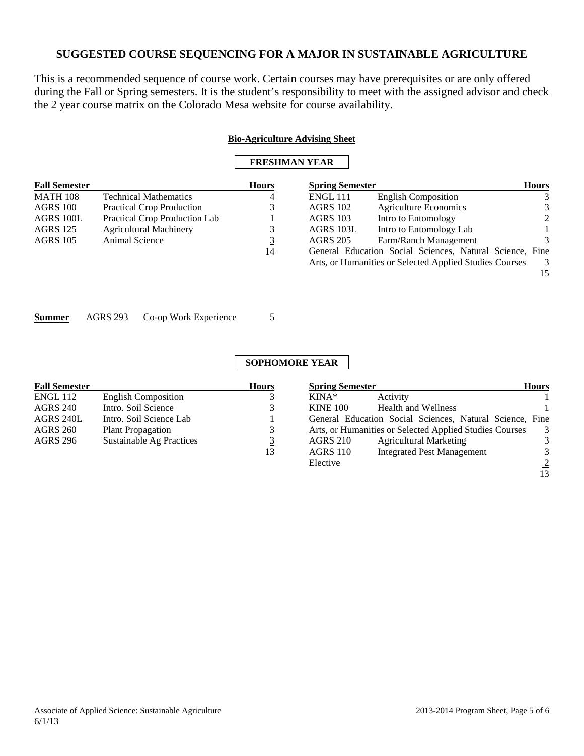This is a recommended sequence of course work. Certain courses may have prerequisites or are only offered during the Fall or Spring semesters. It is the student's responsibility to meet with the assigned advisor and check the 2 year course matrix on the Colorado Mesa website for course availability.

|                      |                                  |              | <b>Bio-Agriculture Advising Sheet</b><br><b>FRESHMAN YEAR</b> |                                                         |                      |
|----------------------|----------------------------------|--------------|---------------------------------------------------------------|---------------------------------------------------------|----------------------|
| <b>Fall Semester</b> |                                  | <b>Hours</b> | <b>Spring Semester</b>                                        |                                                         | <b>Hours</b>         |
| <b>MATH 108</b>      | <b>Technical Mathematics</b>     | 4            | <b>ENGL 111</b>                                               | <b>English Composition</b>                              | 3                    |
| AGRS 100             | <b>Practical Crop Production</b> | 3            | <b>AGRS 102</b>                                               | <b>Agriculture Economics</b>                            | 3                    |
| AGRS 100L            | Practical Crop Production Lab    |              | <b>AGRS 103</b>                                               | Intro to Entomology                                     | $\mathfrak{D}$       |
| <b>AGRS</b> 125      | <b>Agricultural Machinery</b>    | 3            | AGRS 103L                                                     | Intro to Entomology Lab                                 |                      |
| <b>AGRS</b> 105      | <b>Animal Science</b>            | <u>3</u>     | <b>AGRS 205</b>                                               | Farm/Ranch Management                                   | 3.                   |
|                      |                                  | 14           | General Education Social Sciences, Natural Science, Fine      |                                                         |                      |
|                      |                                  |              |                                                               | Arts, or Humanities or Selected Applied Studies Courses | $\overline{3}$<br>15 |

**Summer** AGRS 293 Co-op Work Experience 5

| <b>Fall Semester</b> |                            | <b>Hours</b> | <b>Spring Semester</b> |                                                          | <b>Hours</b>   |
|----------------------|----------------------------|--------------|------------------------|----------------------------------------------------------|----------------|
| <b>ENGL 112</b>      | <b>English Composition</b> |              | $KINA*$                | Activity                                                 |                |
| <b>AGRS 240</b>      | Intro. Soil Science        |              | <b>KINE 100</b>        | <b>Health and Wellness</b>                               |                |
| AGRS 240L            | Intro. Soil Science Lab    |              |                        | General Education Social Sciences, Natural Science, Fine |                |
| <b>AGRS 260</b>      | <b>Plant Propagation</b>   | 3            |                        | Arts, or Humanities or Selected Applied Studies Courses  | 3              |
| <b>AGRS 296</b>      | Sustainable Ag Practices   | 3            | <b>AGRS 210</b>        | <b>Agricultural Marketing</b>                            | 3              |
|                      |                            | 13           | <b>AGRS 110</b>        | <b>Integrated Pest Management</b>                        | 3              |
|                      |                            |              | Elective               |                                                          | $\overline{2}$ |
|                      |                            |              |                        |                                                          | 13             |